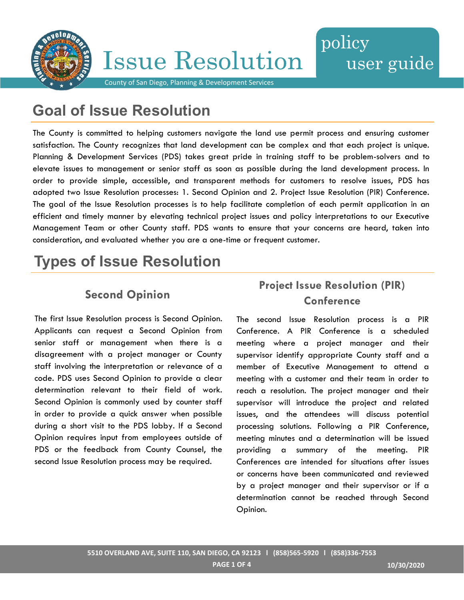

**Issue Resolution** 

## policy user guide

County of San Diego, Planning & Development Services

## **Goal of Issue Resolution**

The County is committed to helping customers navigate the land use permit process and ensuring customer satisfaction. The County recognizes that land development can be complex and that each project is unique. Planning & Development Services (PDS) takes great pride in training staff to be problem-solvers and to elevate issues to management or senior staff as soon as possible during the land development process. In order to provide simple, accessible, and transparent methods for customers to resolve issues, PDS has adopted two Issue Resolution processes: 1. Second Opinion and 2. Project Issue Resolution (PIR) Conference. The goal of the Issue Resolution processes is to help facilitate completion of each permit application in an efficient and timely manner by elevating technical project issues and policy interpretations to our Executive Management Team or other County staff. PDS wants to ensure that your concerns are heard, taken into consideration, and evaluated whether you are a one-time or frequent customer.

## **Types of Issue Resolution**

### **Second Opinion**

The first Issue Resolution process is Second Opinion. Applicants can request a Second Opinion from senior staff or management when there is a disagreement with a project manager or County staff involving the interpretation or relevance of a code. PDS uses Second Opinion to provide a clear determination relevant to their field of work. Second Opinion is commonly used by counter staff in order to provide a quick answer when possible during a short visit to the PDS lobby. If a Second Opinion requires input from employees outside of PDS or the feedback from County Counsel, the second Issue Resolution process may be required.

### **Project Issue Resolution (PIR) Conference**

The second Issue Resolution process is a PIR Conference. A PIR Conference is a scheduled meeting where a project manager and their supervisor identify appropriate County staff and a member of Executive Management to attend a meeting with a customer and their team in order to reach a resolution. The project manager and their supervisor will introduce the project and related issues, and the attendees will discuss potential processing solutions. Following a PIR Conference, meeting minutes and a determination will be issued providing a summary of the meeting. PIR Conferences are intended for situations after issues or concerns have been communicated and reviewed by a project manager and their supervisor or if a determination cannot be reached through Second Opinion.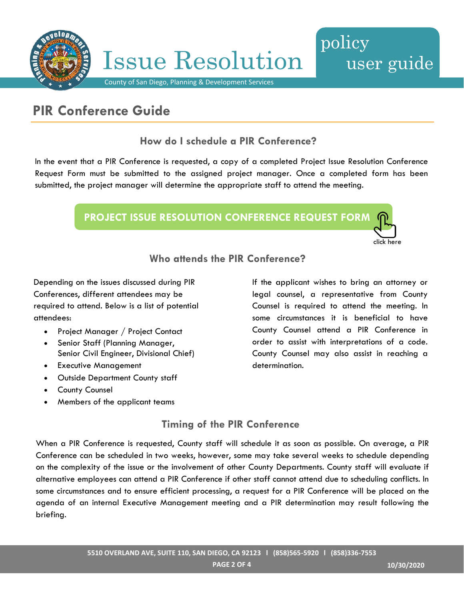

### **PIR Conference Guide**

**How do I schedule a PIR Conference?**

In the event that a PIR Conference is requested, a copy of a completed Project Issue Resolution Conference Request Form must be submitted to the assigned project manager. Once a completed form has been submitted, the project manager will determine the appropriate staff to attend the meeting.



**Who attends the PIR Conference?**

Depending on the issues discussed during PIR Conferences, different attendees may be required to attend. Below is a list of potential attendees:

- Project Manager / Project Contact
- Senior Staff (Planning Manager, Senior Civil Engineer, Divisional Chief)
- Executive Management
- Outside Department County staff
- County Counsel
- Members of the applicant teams

If the applicant wishes to bring an attorney or legal counsel, a representative from County Counsel is required to attend the meeting. In some circumstances it is beneficial to have County Counsel attend a PIR Conference in order to assist with interpretations of a code. County Counsel may also assist in reaching a determination.

click here

user guide

#### **Timing of the PIR Conference**

When a PIR Conference is requested, County staff will schedule it as soon as possible. On average, a PIR Conference can be scheduled in two weeks, however, some may take several weeks to schedule depending on the complexity of the issue or the involvement of other County Departments. County staff will evaluate if alternative employees can attend a PIR Conference if other staff cannot attend due to scheduling conflicts. In some circumstances and to ensure efficient processing, a request for a PIR Conference will be placed on the agenda of an internal Executive Management meeting and a PIR determination may result following the briefing.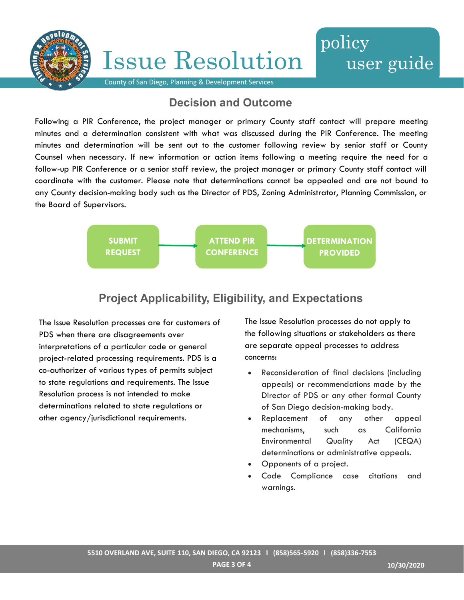

# **Issue Resolution**



County of San Diego, Planning & Development Services

#### **Decision and Outcome**

Following a PIR Conference, the project manager or primary County staff contact will prepare meeting minutes and a determination consistent with what was discussed during the PIR Conference. The meeting minutes and determination will be sent out to the customer following review by senior staff or County Counsel when necessary. If new information or action items following a meeting require the need for a follow-up PIR Conference or a senior staff review, the project manager or primary County staff contact will coordinate with the customer. Please note that determinations cannot be appealed and are not bound to any County decision-making body such as the Director of PDS, Zoning Administrator, Planning Commission, or the Board of Supervisors.



### **Project Applicability, Eligibility, and Expectations**

The Issue Resolution processes are for customers of PDS when there are disagreements over interpretations of a particular code or general project-related processing requirements. PDS is a co-authorizer of various types of permits subject to state regulations and requirements. The Issue Resolution process is not intended to make determinations related to state regulations or other agency/jurisdictional requirements.

The Issue Resolution processes do not apply to the following situations or stakeholders as there are separate appeal processes to address concerns:

- Reconsideration of final decisions (including appeals) or recommendations made by the Director of PDS or any other formal County of San Diego decision-making body.
- Replacement of any other appeal mechanisms, such as California Environmental Quality Act (CEQA) determinations or administrative appeals.
- Opponents of a project.
- Code Compliance case citations and warnings.